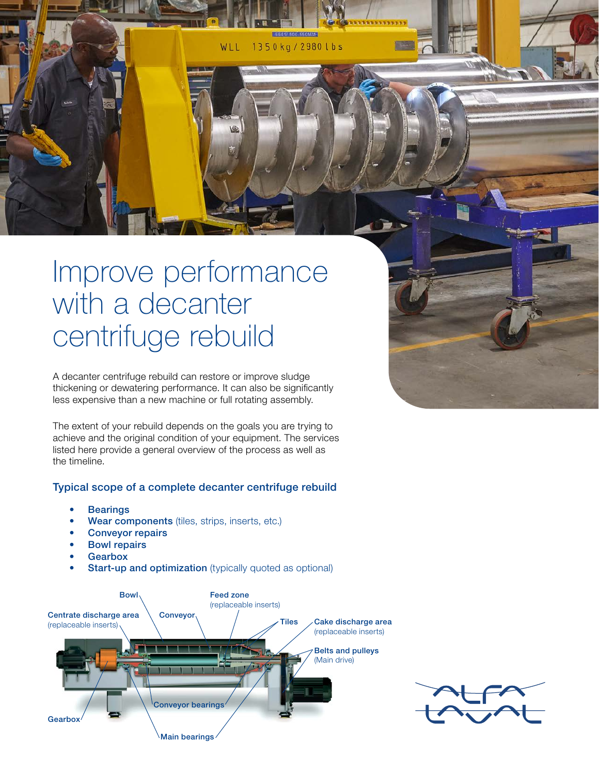WLL 1350kg/2980lbs

# Improve performance with a decanter centrifuge rebuild

A decanter centrifuge rebuild can restore or improve sludge thickening or dewatering performance. It can also be significantly less expensive than a new machine or full rotating assembly.

The extent of your rebuild depends on the goals you are trying to achieve and the original condition of your equipment. The services listed here provide a general overview of the process as well as the timeline.

#### Typical scope of a complete decanter centrifuge rebuild

- **Bearings**
- Wear components (tiles, strips, inserts, etc.)
- Conveyor repairs
- **Bowl repairs**
- **Gearbox**
- **Start-up and optimization** (typically quoted as optional)



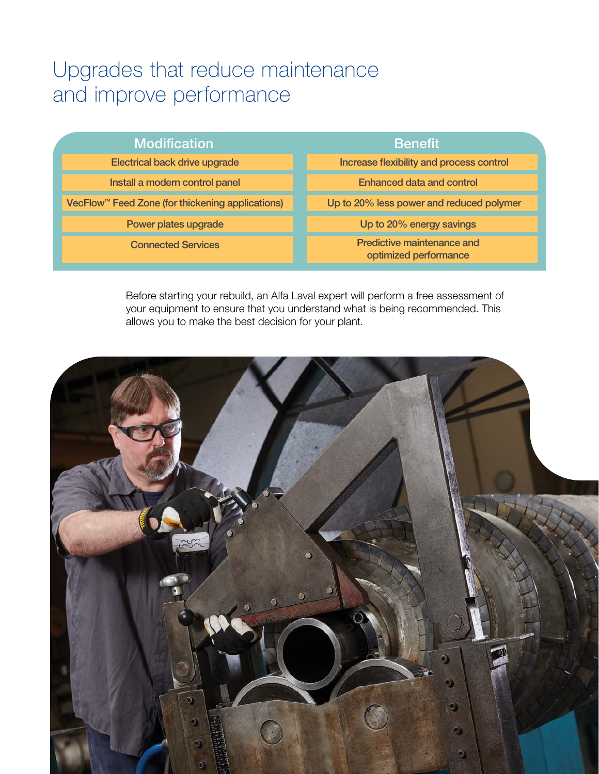## Upgrades that reduce maintenance and improve performance

| <b>Modification</b>                                          | <b>Benefit</b>                                      |
|--------------------------------------------------------------|-----------------------------------------------------|
| Electrical back drive upgrade                                | Increase flexibility and process control            |
| Install a modern control panel                               | Enhanced data and control                           |
| VecFlow <sup>™</sup> Feed Zone (for thickening applications) | Up to 20% less power and reduced polymer            |
| Power plates upgrade                                         | Up to 20% energy savings                            |
| <b>Connected Services</b>                                    | Predictive maintenance and<br>optimized performance |

Before starting your rebuild, an Alfa Laval expert will perform a free assessment of your equipment to ensure that you understand what is being recommended. This allows you to make the best decision for your plant.